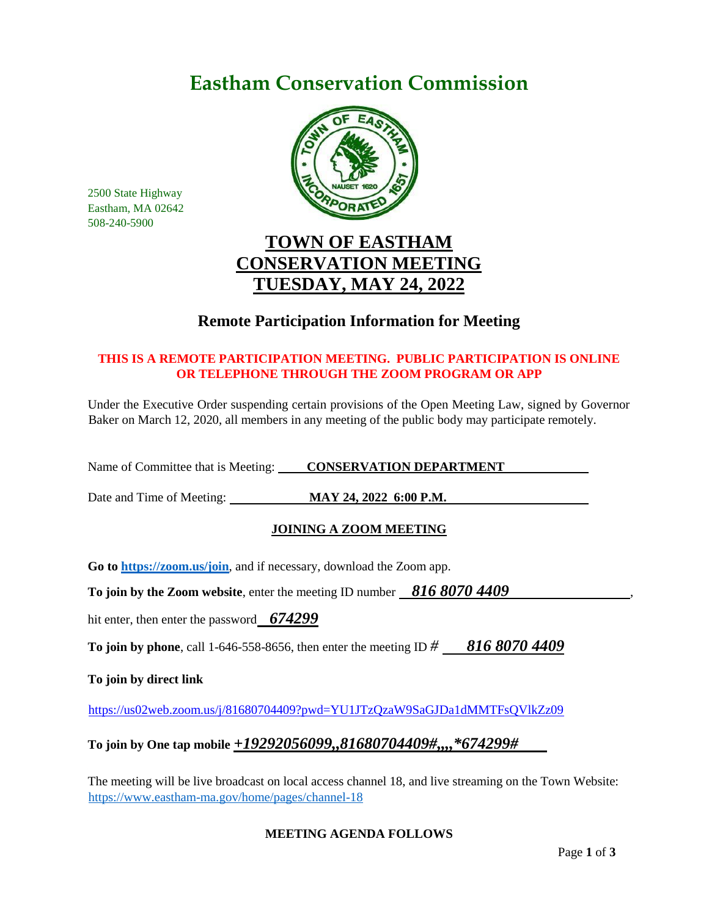# **Eastham Conservation Commission**



2500 State Highway Eastham, MA 02642 508-240-5900

# **TOWN OF EASTHAM CONSERVATION MEETING TUESDAY, MAY 24, 2022**

# **Remote Participation Information for Meeting**

## **THIS IS A REMOTE PARTICIPATION MEETING. PUBLIC PARTICIPATION IS ONLINE OR TELEPHONE THROUGH THE ZOOM PROGRAM OR APP**

Under the Executive Order suspending certain provisions of the Open Meeting Law, signed by Governor Baker on March 12, 2020, all members in any meeting of the public body may participate remotely.

Name of Committee that is Meeting: **CONSERVATION DEPARTMENT** 

Date and Time of Meeting: **MAY 24, 2022 6:00 P.M.**

## **JOINING A ZOOM MEETING**

**Go to<https://zoom.us/join>**, and if necessary, download the Zoom app.

**To join by the Zoom website, enter the meeting ID number 816 8070 4409** 

hit enter, then enter the password *674299*

**To join by phone**, call 1-646-558-8656, then enter the meeting ID *# 816 8070 4409*

**To join by direct link**

<https://us02web.zoom.us/j/81680704409?pwd=YU1JTzQzaW9SaGJDa1dMMTFsQVlkZz09>

## **To join by One tap mobile** *+19292056099,,81680704409#,,,,\*674299#*

The meeting will be live broadcast on local access channel 18, and live streaming on the Town Website: <https://www.eastham-ma.gov/home/pages/channel-18>

## **MEETING AGENDA FOLLOWS**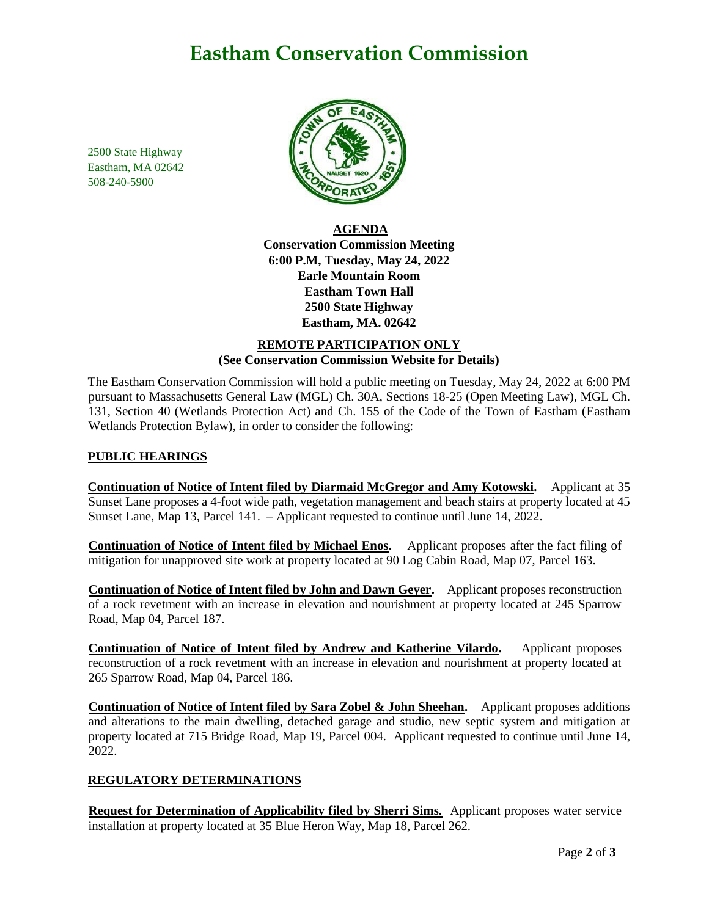# **Eastham Conservation Commission**

2500 State Highway Eastham, MA 02642 508-240-5900



**AGENDA Conservation Commission Meeting 6:00 P.M, Tuesday, May 24, 2022 Earle Mountain Room Eastham Town Hall 2500 State Highway Eastham, MA. 02642**

## **REMOTE PARTICIPATION ONLY (See Conservation Commission Website for Details)**

The Eastham Conservation Commission will hold a public meeting on Tuesday, May 24, 2022 at 6:00 PM pursuant to Massachusetts General Law (MGL) Ch. 30A, Sections 18-25 (Open Meeting Law), MGL Ch. 131, Section 40 (Wetlands Protection Act) and Ch. 155 of the Code of the Town of Eastham (Eastham Wetlands Protection Bylaw), in order to consider the following:

## **PUBLIC HEARINGS**

**Continuation of Notice of Intent filed by Diarmaid McGregor and Amy Kotowski.** Applicant at 35 Sunset Lane proposes a 4-foot wide path, vegetation management and beach stairs at property located at 45 Sunset Lane, Map 13, Parcel 141. – Applicant requested to continue until June 14, 2022.

**Continuation of Notice of Intent filed by Michael Enos.** Applicant proposes after the fact filing of mitigation for unapproved site work at property located at 90 Log Cabin Road, Map 07, Parcel 163.

**Continuation of Notice of Intent filed by John and Dawn Geyer.** Applicant proposes reconstruction of a rock revetment with an increase in elevation and nourishment at property located at 245 Sparrow Road, Map 04, Parcel 187.

**Continuation of Notice of Intent filed by Andrew and Katherine Vilardo.** Applicant proposes reconstruction of a rock revetment with an increase in elevation and nourishment at property located at 265 Sparrow Road, Map 04, Parcel 186.

**Continuation of Notice of Intent filed by Sara Zobel & John Sheehan.** Applicant proposes additions and alterations to the main dwelling, detached garage and studio, new septic system and mitigation at property located at 715 Bridge Road, Map 19, Parcel 004. Applicant requested to continue until June 14, 2022.

## **REGULATORY DETERMINATIONS**

**Request for Determination of Applicability filed by Sherri Sims.** Applicant proposes water service installation at property located at 35 Blue Heron Way, Map 18, Parcel 262.